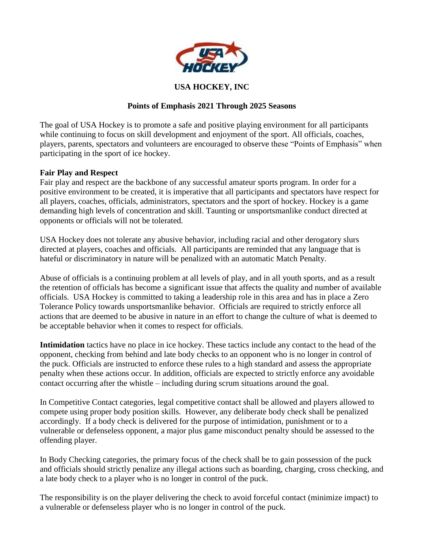

## **USA HOCKEY, INC**

### **Points of Emphasis 2021 Through 2025 Seasons**

The goal of USA Hockey is to promote a safe and positive playing environment for all participants while continuing to focus on skill development and enjoyment of the sport. All officials, coaches, players, parents, spectators and volunteers are encouraged to observe these "Points of Emphasis" when participating in the sport of ice hockey.

### **Fair Play and Respect**

Fair play and respect are the backbone of any successful amateur sports program. In order for a positive environment to be created, it is imperative that all participants and spectators have respect for all players, coaches, officials, administrators, spectators and the sport of hockey. Hockey is a game demanding high levels of concentration and skill. Taunting or unsportsmanlike conduct directed at opponents or officials will not be tolerated.

USA Hockey does not tolerate any abusive behavior, including racial and other derogatory slurs directed at players, coaches and officials. All participants are reminded that any language that is hateful or discriminatory in nature will be penalized with an automatic Match Penalty.

Abuse of officials is a continuing problem at all levels of play, and in all youth sports, and as a result the retention of officials has become a significant issue that affects the quality and number of available officials. USA Hockey is committed to taking a leadership role in this area and has in place a Zero Tolerance Policy towards unsportsmanlike behavior. Officials are required to strictly enforce all actions that are deemed to be abusive in nature in an effort to change the culture of what is deemed to be acceptable behavior when it comes to respect for officials.

**Intimidation** tactics have no place in ice hockey. These tactics include any contact to the head of the opponent, checking from behind and late body checks to an opponent who is no longer in control of the puck. Officials are instructed to enforce these rules to a high standard and assess the appropriate penalty when these actions occur. In addition, officials are expected to strictly enforce any avoidable contact occurring after the whistle – including during scrum situations around the goal.

In Competitive Contact categories, legal competitive contact shall be allowed and players allowed to compete using proper body position skills. However, any deliberate body check shall be penalized accordingly. If a body check is delivered for the purpose of intimidation, punishment or to a vulnerable or defenseless opponent, a major plus game misconduct penalty should be assessed to the offending player.

In Body Checking categories, the primary focus of the check shall be to gain possession of the puck and officials should strictly penalize any illegal actions such as boarding, charging, cross checking, and a late body check to a player who is no longer in control of the puck.

The responsibility is on the player delivering the check to avoid forceful contact (minimize impact) to a vulnerable or defenseless player who is no longer in control of the puck.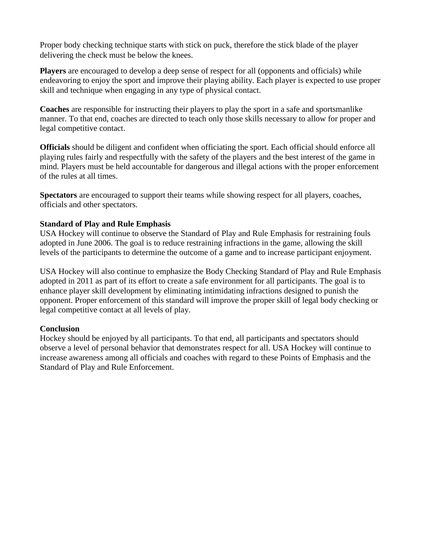Proper body checking technique starts with stick on puck, therefore the stick blade of the player delivering the check must be below the knees.

**Players** are encouraged to develop a deep sense of respect for all (opponents and officials) while endeavoring to enjoy the sport and improve their playing ability. Each player is expected to use proper skill and technique when engaging in any type of physical contact.

**Coaches** are responsible for instructing their players to play the sport in a safe and sportsmanlike manner. To that end, coaches are directed to teach only those skills necessary to allow for proper and legal competitive contact.

**Officials** should be diligent and confident when officiating the sport. Each official should enforce all playing rules fairly and respectfully with the safety of the players and the best interest of the game in mind. Players must be held accountable for dangerous and illegal actions with the proper enforcement of the rules at all times.

**Spectators** are encouraged to support their teams while showing respect for all players, coaches, officials and other spectators.

# **Standard of Play and Rule Emphasis**

USA Hockey will continue to observe the Standard of Play and Rule Emphasis for restraining fouls adopted in June 2006. The goal is to reduce restraining infractions in the game, allowing the skill levels of the participants to determine the outcome of a game and to increase participant enjoyment.

USA Hockey will also continue to emphasize the Body Checking Standard of Play and Rule Emphasis adopted in 2011 as part of its effort to create a safe environment for all participants. The goal is to enhance player skill development by eliminating intimidating infractions designed to punish the opponent. Proper enforcement of this standard will improve the proper skill of legal body checking or legal competitive contact at all levels of play.

### **Conclusion**

Hockey should be enjoyed by all participants. To that end, all participants and spectators should observe a level of personal behavior that demonstrates respect for all. USA Hockey will continue to increase awareness among all officials and coaches with regard to these Points of Emphasis and the Standard of Play and Rule Enforcement.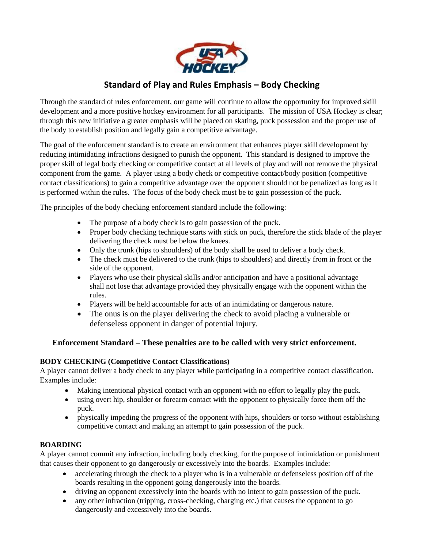

# **Standard of Play and Rules Emphasis – Body Checking**

Through the standard of rules enforcement, our game will continue to allow the opportunity for improved skill development and a more positive hockey environment for all participants. The mission of USA Hockey is clear; through this new initiative a greater emphasis will be placed on skating, puck possession and the proper use of the body to establish position and legally gain a competitive advantage.

The goal of the enforcement standard is to create an environment that enhances player skill development by reducing intimidating infractions designed to punish the opponent. This standard is designed to improve the proper skill of legal body checking or competitive contact at all levels of play and will not remove the physical component from the game. A player using a body check or competitive contact/body position (competitive contact classifications) to gain a competitive advantage over the opponent should not be penalized as long as it is performed within the rules. The focus of the body check must be to gain possession of the puck.

The principles of the body checking enforcement standard include the following:

- The purpose of a body check is to gain possession of the puck.
- Proper body checking technique starts with stick on puck, therefore the stick blade of the player delivering the check must be below the knees.
- Only the trunk (hips to shoulders) of the body shall be used to deliver a body check.
- The check must be delivered to the trunk (hips to shoulders) and directly from in front or the side of the opponent.
- Players who use their physical skills and/or anticipation and have a positional advantage shall not lose that advantage provided they physically engage with the opponent within the rules.
- Players will be held accountable for acts of an intimidating or dangerous nature.
- The onus is on the player delivering the check to avoid placing a vulnerable or defenseless opponent in danger of potential injury*.*

### **Enforcement Standard – These penalties are to be called with very strict enforcement.**

### **BODY CHECKING (Competitive Contact Classifications)**

A player cannot deliver a body check to any player while participating in a competitive contact classification. Examples include:

- Making intentional physical contact with an opponent with no effort to legally play the puck.
- using overt hip, shoulder or forearm contact with the opponent to physically force them off the puck.
- physically impeding the progress of the opponent with hips, shoulders or torso without establishing competitive contact and making an attempt to gain possession of the puck.

### **BOARDING**

A player cannot commit any infraction, including body checking, for the purpose of intimidation or punishment that causes their opponent to go dangerously or excessively into the boards. Examples include:

- accelerating through the check to a player who is in a vulnerable or defenseless position off of the boards resulting in the opponent going dangerously into the boards.
- driving an opponent excessively into the boards with no intent to gain possession of the puck.
- any other infraction (tripping, cross-checking, charging etc.) that causes the opponent to go dangerously and excessively into the boards.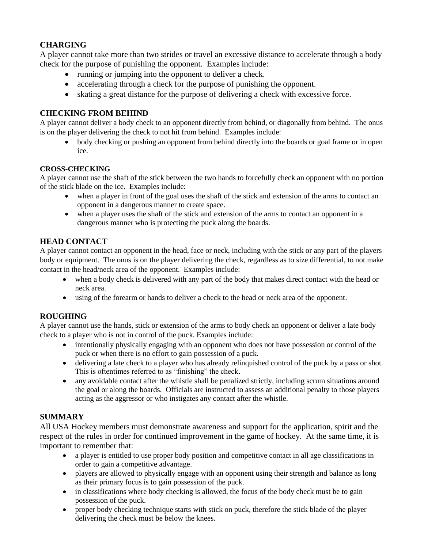# **CHARGING**

A player cannot take more than two strides or travel an excessive distance to accelerate through a body check for the purpose of punishing the opponent. Examples include:

- running or jumping into the opponent to deliver a check.
- accelerating through a check for the purpose of punishing the opponent.
- skating a great distance for the purpose of delivering a check with excessive force.

# **CHECKING FROM BEHIND**

A player cannot deliver a body check to an opponent directly from behind, or diagonally from behind. The onus is on the player delivering the check to not hit from behind. Examples include:

• body checking or pushing an opponent from behind directly into the boards or goal frame or in open ice.

## **CROSS-CHECKING**

A player cannot use the shaft of the stick between the two hands to forcefully check an opponent with no portion of the stick blade on the ice. Examples include:

- when a player in front of the goal uses the shaft of the stick and extension of the arms to contact an opponent in a dangerous manner to create space.
- when a player uses the shaft of the stick and extension of the arms to contact an opponent in a dangerous manner who is protecting the puck along the boards.

# **HEAD CONTACT**

A player cannot contact an opponent in the head, face or neck, including with the stick or any part of the players body or equipment. The onus is on the player delivering the check, regardless as to size differential, to not make contact in the head/neck area of the opponent. Examples include:

- when a body check is delivered with any part of the body that makes direct contact with the head or neck area.
- using of the forearm or hands to deliver a check to the head or neck area of the opponent.

# **ROUGHING**

A player cannot use the hands, stick or extension of the arms to body check an opponent or deliver a late body check to a player who is not in control of the puck. Examples include:

- intentionally physically engaging with an opponent who does not have possession or control of the puck or when there is no effort to gain possession of a puck.
- delivering a late check to a player who has already relinquished control of the puck by a pass or shot. This is oftentimes referred to as "finishing" the check.
- any avoidable contact after the whistle shall be penalized strictly, including scrum situations around the goal or along the boards. Officials are instructed to assess an additional penalty to those players acting as the aggressor or who instigates any contact after the whistle.

# **SUMMARY**

All USA Hockey members must demonstrate awareness and support for the application, spirit and the respect of the rules in order for continued improvement in the game of hockey. At the same time, it is important to remember that:

- a player is entitled to use proper body position and competitive contact in all age classifications in order to gain a competitive advantage.
- players are allowed to physically engage with an opponent using their strength and balance as long as their primary focus is to gain possession of the puck.
- in classifications where body checking is allowed, the focus of the body check must be to gain possession of the puck.
- proper body checking technique starts with stick on puck, therefore the stick blade of the player delivering the check must be below the knees.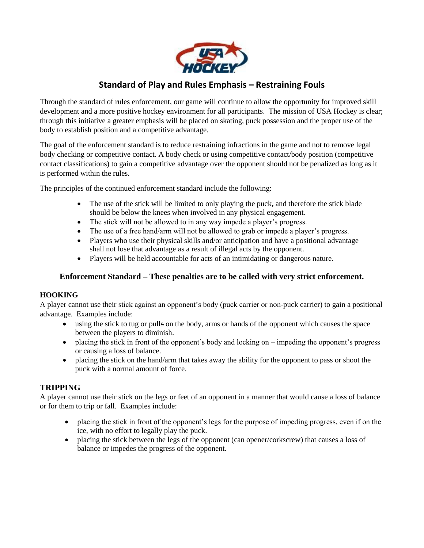

# **Standard of Play and Rules Emphasis – Restraining Fouls**

Through the standard of rules enforcement, our game will continue to allow the opportunity for improved skill development and a more positive hockey environment for all participants. The mission of USA Hockey is clear; through this initiative a greater emphasis will be placed on skating, puck possession and the proper use of the body to establish position and a competitive advantage.

The goal of the enforcement standard is to reduce restraining infractions in the game and not to remove legal body checking or competitive contact. A body check or using competitive contact/body position (competitive contact classifications) to gain a competitive advantage over the opponent should not be penalized as long as it is performed within the rules.

The principles of the continued enforcement standard include the following:

- The use of the stick will be limited to only playing the puck**,** and therefore the stick blade should be below the knees when involved in any physical engagement.
- The stick will not be allowed to in any way impede a player's progress.
- The use of a free hand/arm will not be allowed to grab or impede a player's progress.
- Players who use their physical skills and/or anticipation and have a positional advantage shall not lose that advantage as a result of illegal acts by the opponent.
- Players will be held accountable for acts of an intimidating or dangerous nature.

### **Enforcement Standard – These penalties are to be called with very strict enforcement.**

### **HOOKING**

A player cannot use their stick against an opponent's body (puck carrier or non-puck carrier) to gain a positional advantage. Examples include:

- using the stick to tug or pulls on the body, arms or hands of the opponent which causes the space between the players to diminish.
- placing the stick in front of the opponent's body and locking on impeding the opponent's progress or causing a loss of balance.
- placing the stick on the hand/arm that takes away the ability for the opponent to pass or shoot the puck with a normal amount of force.

### **TRIPPING**

A player cannot use their stick on the legs or feet of an opponent in a manner that would cause a loss of balance or for them to trip or fall. Examples include:

- placing the stick in front of the opponent's legs for the purpose of impeding progress, even if on the ice, with no effort to legally play the puck.
- placing the stick between the legs of the opponent (can opener/corkscrew) that causes a loss of balance or impedes the progress of the opponent.